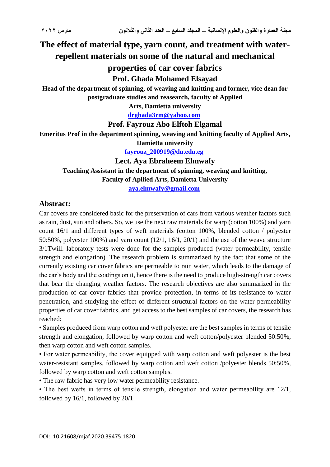# **The effect of material type, yarn count, and treatment with waterrepellent materials on some of the natural and mechanical properties of car cover fabrics**

## **Prof. Ghada Mohamed Elsayad**

**Head of the department of spinning, of weaving and knitting and former, vice dean for postgraduate studies and reasearch, faculty of Applied**

**Arts, Damietta university**

**[drghada3rm@yahoo.com](mailto:drghada3rm@yahoo.com)**

### **Prof. Fayrouz Abo Elftoh Elgamal**

**Emeritus Prof in the department spinning, weaving and knitting faculty of Applied Arts,** 

**Damietta university**

**[fayrouz\\_200919@du.edu.eg](mailto:fayrouz_200919@du.edu.eg)**

**Lect. Aya Ebraheem Elmwafy**

**Teaching Assistant in the department of spinning, weaving and knitting,**

**Faculty of Apllied Arts, Damietta University**

**[aya.elmwafy@gmail.com](mailto:aya.elmwafy@gmail.com)**

## **Abstract:**

Car covers are considered basic for the preservation of cars from various weather factors such as rain, dust, sun and others. So, we use the next raw materials for warp (cotton 100%) and yarn count 16/1 and different types of weft materials (cotton 100%, blended cotton / polyester 50:50%, polyester 100%) and yarn count (12/1, 16/1, 20/1) and the use of the weave structure 3/1Twill. laboratory tests were done for the samples produced (water permeability, tensile strength and elongation). The research problem is summarized by the fact that some of the currently existing car cover fabrics are permeable to rain water, which leads to the damage of the car's body and the coatings on it, hence there is the need to produce high-strength car covers that bear the changing weather factors. The research objectives are also summarized in the production of car cover fabrics that provide protection, in terms of its resistance to water penetration, and studying the effect of different structural factors on the water permeability properties of car cover fabrics, and get access to the best samples of car covers, the research has reached:

• Samples produced from warp cotton and weft polyester are the best samples in terms of tensile strength and elongation, followed by warp cotton and weft cotton/polyester blended 50:50%, then warp cotton and weft cotton samples.

• For water permeability, the cover equipped with warp cotton and weft polyester is the best water-resistant samples, followed by warp cotton and weft cotton /polyester blends 50:50%, followed by warp cotton and weft cotton samples.

• The raw fabric has very low water permeability resistance.

• The best wefts in terms of tensile strength, elongation and water permeability are 12/1, followed by 16/1, followed by 20/1.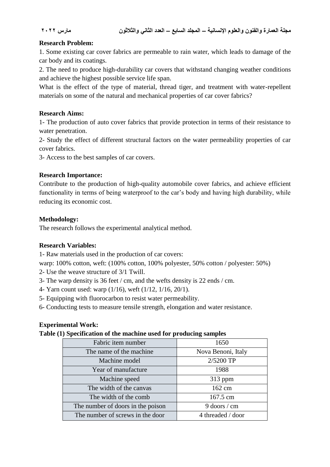### **Research Problem:**

1. Some existing car cover fabrics are permeable to rain water, which leads to damage of the car body and its coatings.

2. The need to produce high-durability car covers that withstand changing weather conditions and achieve the highest possible service life span.

What is the effect of the type of material, thread tiger, and treatment with water-repellent materials on some of the natural and mechanical properties of car cover fabrics?

#### **Research Aims:**

1- The production of auto cover fabrics that provide protection in terms of their resistance to water penetration.

2- Study the effect of different structural factors on the water permeability properties of car cover fabrics.

3- Access to the best samples of car covers.

#### **Research Importance:**

Contribute to the production of high-quality automobile cover fabrics, and achieve efficient functionality in terms of being waterproof to the car's body and having high durability, while reducing its economic cost.

### **Methodology:**

The research follows the experimental analytical method.

### **Research Variables:**

1- Raw materials used in the production of car covers:

warp: 100% cotton, weft: (100% cotton, 100% polyester, 50% cotton / polyester: 50%)

- 2- Use the weave structure of 3/1 Twill.
- 3- The warp density is 36 feet / cm, and the wefts density is 22 ends / cm.
- 4- Yarn count used: warp (1/16), weft (1/12, 1/16, 20/1).
- 5- Equipping with fluorocarbon to resist water permeability.
- 6- Conducting tests to measure tensile strength, elongation and water resistance.

### **Experimental Work:**

**Table (1) Specification of the machine used for producing samples** 

| Fabric item number                | 1650               |  |  |
|-----------------------------------|--------------------|--|--|
| The name of the machine.          | Nova Benoni, Italy |  |  |
| Machine model                     | 2/5200 TP          |  |  |
| Year of manufacture               | 1988               |  |  |
| Machine speed                     | $313$ ppm          |  |  |
| The width of the canvas           | 162 cm             |  |  |
| The width of the comb             | 167.5 cm           |  |  |
| The number of doors in the poison | $9$ doors / cm     |  |  |
| The number of screws in the door  | 4 threaded / door  |  |  |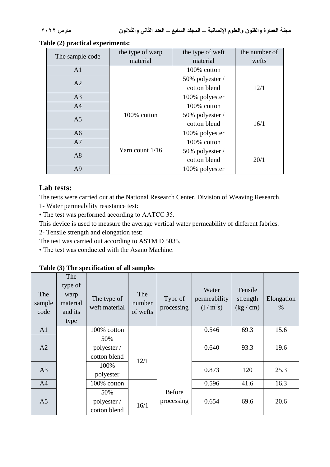| The sample code | the type of warp  | the type of weft | the number of |
|-----------------|-------------------|------------------|---------------|
|                 | material          | material         | wefts         |
| A <sub>1</sub>  |                   | 100% cotton      |               |
| A2              |                   | 50% polyester /  |               |
|                 |                   | cotton blend     | 12/1          |
| A <sub>3</sub>  |                   | 100% polyester   |               |
| A <sup>4</sup>  |                   | 100% cotton      |               |
| A <sub>5</sub>  | 100% cotton       | 50% polyester /  |               |
|                 |                   | cotton blend     | 16/1          |
| A6              |                   | 100% polyester   |               |
| A7              |                   | 100% cotton      |               |
| A8              | Yarn count $1/16$ | 50% polyester /  |               |
|                 |                   | cotton blend     | 20/1          |
| A <sub>9</sub>  |                   | 100% polyester   |               |

#### **Table (2) practical experiments:**

# **Lab tests:**

The tests were carried out at the National Research Center, Division of Weaving Research.

1- Water permeability resistance test:

• The test was performed according to AATCC 35.

This device is used to measure the average vertical water permeability of different fabrics.

2- Tensile strength and elongation test:

The test was carried out according to ASTM D 5035.

• The test was conducted with the Asano Machine.

**Table (3) The specification of all samples** 

| The<br>sample<br>code | The<br>type of<br>warp<br>material<br>and its<br>type | The type of<br>weft material       | The<br>number<br>of wefts | Type of<br>processing       | Water<br>permeability<br>$(1/m^2s)$ | Tensile<br>strength<br>(kg/cm) | Elongation<br>$\%$ |
|-----------------------|-------------------------------------------------------|------------------------------------|---------------------------|-----------------------------|-------------------------------------|--------------------------------|--------------------|
| A <sub>1</sub>        |                                                       | 100% cotton                        |                           |                             | 0.546                               | 69.3                           | 15.6               |
| A2                    |                                                       | 50%<br>polyester /<br>cotton blend | 12/1                      |                             | 0.640                               | 93.3                           | 19.6               |
| A <sub>3</sub>        |                                                       | 100%<br>polyester                  |                           |                             | 0.873                               | 120                            | 25.3               |
| A <sup>4</sup>        |                                                       | 100% cotton                        |                           |                             | 0.596                               | 41.6                           | 16.3               |
| A <sub>5</sub>        |                                                       | 50%<br>polyester /<br>cotton blend | 16/1                      | <b>Before</b><br>processing | 0.654                               | 69.6                           | 20.6               |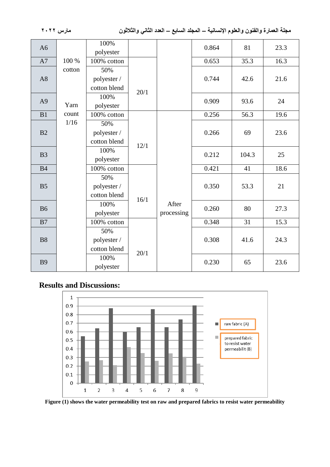|                |        | 100%         |      |            |       |       |      |      |
|----------------|--------|--------------|------|------------|-------|-------|------|------|
| A <sub>6</sub> |        | polyester    |      |            | 0.864 | 81    | 23.3 |      |
| A7             | 100 %  | 100% cotton  |      |            | 0.653 | 35.3  | 16.3 |      |
|                | cotton | 50%          |      |            |       |       |      |      |
| A8             |        | polyester /  |      |            | 0.744 | 42.6  | 21.6 |      |
|                |        | cotton blend |      |            |       |       |      |      |
|                |        | 100%         | 20/1 |            | 0.909 | 93.6  | 24   |      |
| A <sub>9</sub> | Yarn   | polyester    |      |            |       |       |      |      |
| B1             | count  | 100% cotton  |      |            | 0.256 | 56.3  | 19.6 |      |
|                | 1/16   | 50%          |      |            |       |       |      |      |
| B2             |        | polyester /  | 12/1 |            | 0.266 | 69    | 23.6 |      |
|                |        | cotton blend |      |            |       |       |      |      |
|                |        | 100%         |      | 0.212      |       |       |      |      |
| B <sub>3</sub> |        | polyester    |      |            | 104.3 | 25    |      |      |
| <b>B4</b>      |        | 100% cotton  |      |            | 0.421 | 41    | 18.6 |      |
|                |        | 50%          |      |            |       |       |      |      |
| B <sub>5</sub> |        | polyester /  |      |            | 0.350 | 53.3  | 21   |      |
|                |        | cotton blend | 16/1 |            |       |       |      |      |
| <b>B6</b>      |        | 100%         |      | After      | 0.260 | 80    | 27.3 |      |
|                |        | polyester    |      | processing |       |       |      |      |
| B7             |        | 100% cotton  |      |            | 0.348 | 31    | 15.3 |      |
|                |        | 50%          |      |            |       |       |      |      |
| <b>B8</b>      |        | polyester /  |      |            | 0.308 | 41.6  | 24.3 |      |
|                |        | cotton blend | 20/1 |            |       |       |      |      |
| <b>B9</b>      |        | 100%         |      |            |       | 0.230 | 65   | 23.6 |
|                |        | polyester    |      |            |       |       |      |      |

# **Results and Discussions:**



**Figure (1) shows the water permeability test on raw and prepared fabrics to resist water permeability**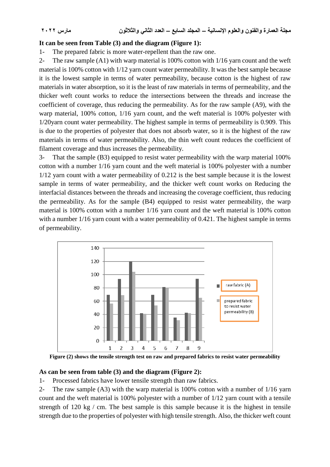#### **It can be seen from Table (3) and the diagram (Figure 1):**

1- The prepared fabric is more water-repellent than the raw one.

2- The raw sample (A1) with warp material is 100% cotton with 1/16 yarn count and the weft material is 100% cotton with 1/12 yarn count water permeability. It was the best sample because it is the lowest sample in terms of water permeability, because cotton is the highest of raw materials in water absorption, so it is the least of raw materials in terms of permeability, and the thicker weft count works to reduce the intersections between the threads and increase the coefficient of coverage, thus reducing the permeability. As for the raw sample (A9), with the warp material, 100% cotton, 1/16 yarn count, and the weft material is 100% polyester with 1/20yarn count water permeability. The highest sample in terms of permeability is 0.909. This is due to the properties of polyester that does not absorb water, so it is the highest of the raw materials in terms of water permeability. Also, the thin weft count reduces the coefficient of filament coverage and thus increases the permeability.

3- That the sample (B3) equipped to resist water permeability with the warp material 100% cotton with a number 1/16 yarn count and the weft material is 100% polyester with a number 1/12 yarn count with a water permeability of 0.212 is the best sample because it is the lowest sample in terms of water permeability, and the thicker weft count works on Reducing the interfacial distances between the threads and increasing the coverage coefficient, thus reducing the permeability. As for the sample (B4) equipped to resist water permeability, the warp material is 100% cotton with a number 1/16 yarn count and the weft material is 100% cotton with a number  $1/16$  yarn count with a water permeability of 0.421. The highest sample in terms of permeability.



**Figure (2) shows the tensile strength test on raw and prepared fabrics to resist water permeability**

#### **As can be seen from table (3) and the diagram (Figure 2):**

1- Processed fabrics have lower tensile strength than raw fabrics.

2- The raw sample (A3) with the warp material is 100% cotton with a number of 1/16 yarn count and the weft material is 100% polyester with a number of 1/12 yarn count with a tensile strength of 120 kg / cm. The best sample is this sample because it is the highest in tensile strength due to the properties of polyester with high tensile strength. Also, the thicker weft count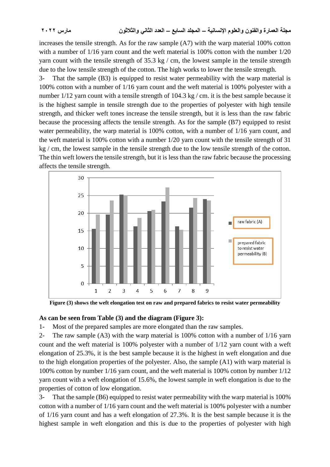increases the tensile strength. As for the raw sample (A7) with the warp material 100% cotton with a number of  $1/16$  yarn count and the weft material is 100% cotton with the number  $1/20$ yarn count with the tensile strength of 35.3 kg / cm, the lowest sample in the tensile strength due to the low tensile strength of the cotton. The high works to lower the tensile strength.

3- That the sample (B3) is equipped to resist water permeability with the warp material is 100% cotton with a number of 1/16 yarn count and the weft material is 100% polyester with a number  $1/12$  yarn count with a tensile strength of  $104.3$  kg / cm. it is the best sample because it is the highest sample in tensile strength due to the properties of polyester with high tensile strength, and thicker weft tones increase the tensile strength, but it is less than the raw fabric because the processing affects the tensile strength. As for the sample (B7) equipped to resist water permeability, the warp material is 100% cotton, with a number of 1/16 yarn count, and the weft material is 100% cotton with a number 1/20 yarn count with the tensile strength of 31 kg / cm, the lowest sample in the tensile strength due to the low tensile strength of the cotton. The thin weft lowers the tensile strength, but it is less than the raw fabric because the processing affects the tensile strength.



**Figure (3) shows the weft elongation test on raw and prepared fabrics to resist water permeability**

#### **As can be seen from Table (3) and the diagram (Figure 3):**

1- Most of the prepared samples are more elongated than the raw samples.

2- The raw sample (A3) with the warp material is 100% cotton with a number of 1/16 yarn count and the weft material is 100% polyester with a number of 1/12 yarn count with a weft elongation of 25.3%, it is the best sample because it is the highest in weft elongation and due to the high elongation properties of the polyester. Also, the sample (A1) with warp material is 100% cotton by number 1/16 yarn count, and the weft material is 100% cotton by number 1/12 yarn count with a weft elongation of 15.6%, the lowest sample in weft elongation is due to the properties of cotton of low elongation.

3- That the sample (B6) equipped to resist water permeability with the warp material is 100% cotton with a number of 1/16 yarn count and the weft material is 100% polyester with a number of 1/16 yarn count and has a weft elongation of 27.3%. It is the best sample because it is the highest sample in weft elongation and this is due to the properties of polyester with high